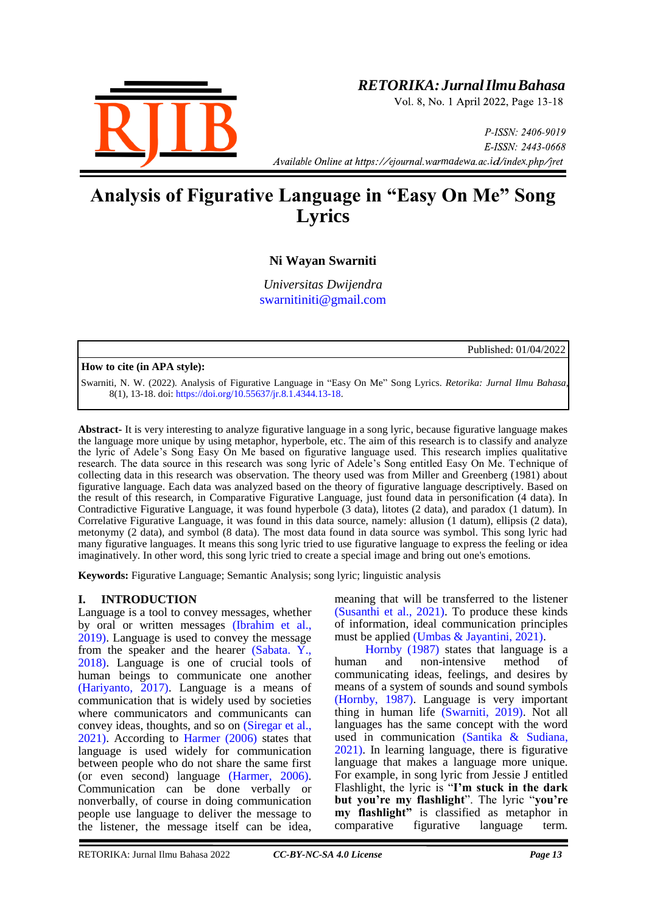

# *RETORIKA:JurnalIlmuBahasa*

Vol. 8, No. 1 April 2022, Page 13-18

P-ISSN: 2406-9019 E-ISSN: 2443-0668 *Available Online at https://ejournal.warmadewa.ac.id/index.php/jret* 

# **Analysis of Figurative Language in "Easy On Me" Song Lyrics**

# **Ni Wayan Swarniti**

*Universitas Dwijendra* [swarnitiniti@gmail.com](mailto:swarnitiniti@gmail.com)

Published: 01/04/2022

# **How to cite (in APA style):**

Swarniti, N. W. (2022). Analysis of Figurative Language in "Easy On Me" Song Lyrics. *Retorika: Jurnal Ilmu Bahasa*, 8(1), 13-18. doi: [https://doi.org/10.55637/jr.8.1.4344.13-18.](https://doi.org/10.55637/jr.8.1.4344.13-18)

**Abstract-** It is very interesting to analyze figurative language in a song lyric, because figurative language makes the language more unique by using metaphor, hyperbole, etc. The aim of this research is to classify and analyze the lyric of Adele's Song Easy On Me based on figurative language used. This research implies qualitative research. The data source in this research was song lyric of Adele's Song entitled Easy On Me. Technique of collecting data in this research was observation. The theory used was from Miller and Greenberg (1981) about figurative language. Each data was analyzed based on the theory of figurative language descriptively. Based on the result of this research, in Comparative Figurative Language, just found data in personification (4 data). In Contradictive Figurative Language, it was found hyperbole (3 data), litotes (2 data), and paradox (1 datum). In Correlative Figurative Language, it was found in this data source, namely: allusion (1 datum), ellipsis (2 data), metonymy (2 data), and symbol (8 data). The most data found in data source was symbol. This song lyric had many figurative languages. It means this song lyric tried to use figurative language to express the feeling or idea imaginatively. In other word, this song lyric tried to create a special image and bring out one's emotions.

**Keywords:** Figurative Language; Semantic Analysis; song lyric; linguistic analysis

# **I. INTRODUCTION**

Language is a tool to convey messages, whether by oral or written messages [\(Ibrahim et al.,](#page-4-0)  2019). Language is used to convey the message from the speaker and the hearer [\(Sabata. Y.,](#page-4-0)  2018). Language is one of crucial tools of human beings to communicate one another [\(Hariyanto, 2017\).](#page-4-0) Language is a means of communication that is widely used by societies where communicators and communicants can convey ideas, thoughts, and so on [\(Siregar et al.,](#page-4-0)  2021). According to [Harmer \(2006\)](#page-4-0) states that language is used widely for communication between people who do not share the same first (or even second) language [\(Harmer, 2006\).](#page-4-0) Communication can be done verbally or nonverbally, of course in doing communication people use language to deliver the message to the listener, the message itself can be idea,

meaning that will be transferred to the listener [\(Susanthi et al., 2021\).](#page-4-0) To produce these kinds of information, ideal communication principles must be applied (Umbas & Jayantini,  $2021$ ).

[Hornby \(1987\)](#page-4-0) states that language is a<br>n and non-intensive method of human and non-intensive method of communicating ideas, feelings, and desires by means of a system of sounds and sound symbols [\(Hornby, 1987\).](#page-4-0) Language is very important thing in human life [\(Swarniti, 2019\).](#page-4-0) Not all languages has the same concept with the word used in communication [\(Santika & Sudiana,](#page-4-0)  2021). In learning language, there is figurative language that makes a language more unique. For example, in song lyric from Jessie J entitled Flashlight, the lyric is "**I'm stuck in the dark but you're my flashlight**". The lyric "**you're my flashlight"** is classified as metaphor in comparative figurative language term.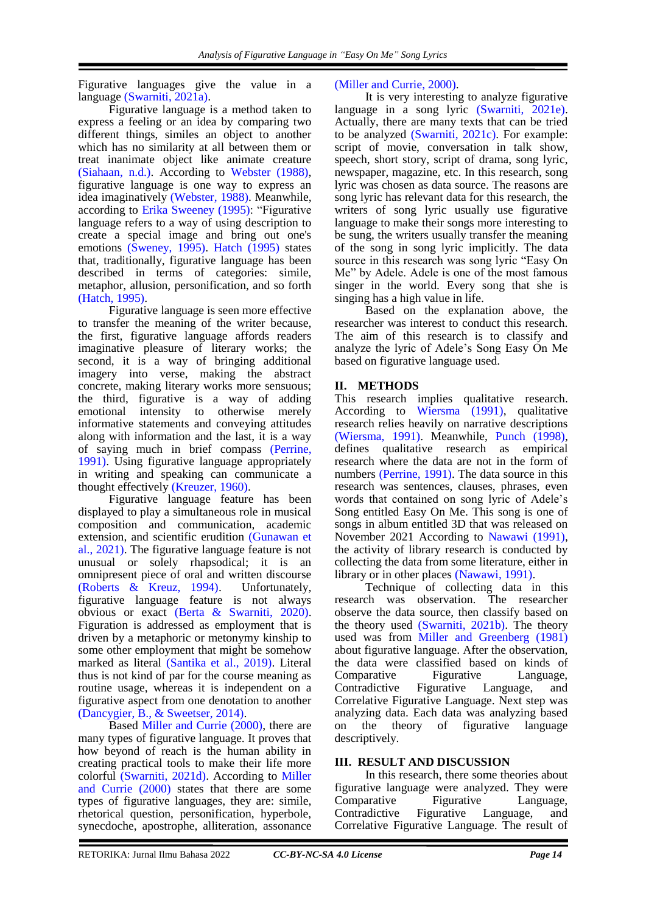Figurative languages give the value in a language [\(Swarniti, 2021a\).](#page-4-0)

Figurative language is a method taken to express a feeling or an idea by comparing two different things, similes an object to another which has no similarity at all between them or treat inanimate object like animate creature [\(Siahaan, n.d.\).](#page-4-0) According to [Webster \(1988\),](#page-4-0) figurative language is one way to express an idea imaginatively [\(Webster, 1988\).](#page-4-0) Meanwhile, according to [Erika Sweeney \(1995\):](#page-4-0) "Figurative language refers to a way of using description to create a special image and bring out one's emotions [\(Sweney, 1995\).](#page-4-0) [Hatch \(1995\)](#page-4-0) states that, traditionally, figurative language has been described in terms of categories: simile, metaphor, allusion, personification, and so forth [\(Hatch, 1995\).](#page-4-0)

Figurative language is seen more effective to transfer the meaning of the writer because, the first, figurative language affords readers imaginative pleasure of literary works; the second, it is a way of bringing additional imagery into verse, making the abstract concrete, making literary works more sensuous; the third, figurative is a way of adding emotional intensity to otherwise merely informative statements and conveying attitudes along with information and the last, it is a way of saying much in brief compass [\(Perrine,](#page-4-0)  1991). Using figurative language appropriately in writing and speaking can communicate a thought effectively [\(Kreuzer, 1960\).](#page-4-0)

Figurative language feature has been displayed to play a simultaneous role in musical composition and communication, academic extension, and scientific erudition [\(Gunawan et](#page-4-0)  al., 2021). The figurative language feature is not unusual or solely rhapsodical; it is an omnipresent piece of oral and written discourse [\(Roberts & Kreuz, 1994\).](#page-4-0) Unfortunately, figurative language feature is not always obvious or exact [\(Berta & Swarniti, 2020\).](#page-4-0) Figuration is addressed as employment that is driven by a metaphoric or metonymy kinship to some other employment that might be somehow marked as literal [\(Santika et al., 2019\).](#page-4-0) Literal thus is not kind of par for the course meaning as routine usage, whereas it is independent on a figurative aspect from one denotation to another [\(Dancygier, B., & Sweetser, 2014\).](#page-4-0)

Based [Miller and Currie \(2000\),](#page-4-0) there are many types of figurative language. It proves that how beyond of reach is the human ability in creating practical tools to make their life more colorful [\(Swarniti, 2021d\).](#page-4-0) According to [Miller](#page-4-0)  [and Currie \(2000\)](#page-4-0) states that there are some types of figurative languages, they are: simile, rhetorical question, personification, hyperbole, synecdoche, apostrophe, alliteration, assonance

# [\(Miller and Currie, 2000\).](#page-4-0)

It is very interesting to analyze figurative language in a song lyric [\(Swarniti, 2021e\).](#page-4-0) Actually, there are many texts that can be tried to be analyzed [\(Swarniti, 2021c\).](#page-4-0) For example: script of movie, conversation in talk show, speech, short story, script of drama, song lyric, newspaper, magazine, etc. In this research, song lyric was chosen as data source. The reasons are song lyric has relevant data for this research, the writers of song lyric usually use figurative language to make their songs more interesting to be sung, the writers usually transfer the meaning of the song in song lyric implicitly. The data source in this research was song lyric "Easy On Me" by Adele. Adele is one of the most famous singer in the world. Every song that she is singing has a high value in life.

Based on the explanation above, the researcher was interest to conduct this research. The aim of this research is to classify and analyze the lyric of Adele's Song Easy On Me based on figurative language used.

# **II. METHODS**

This research implies qualitative research. According to [Wiersma \(1991\),](#page-4-0) qualitative research relies heavily on narrative descriptions [\(Wiersma, 1991\).](#page-4-0) Meanwhile, Punch [\(1998\),](#page-4-0) defines qualitative research as empirical research where the data are not in the form of numbers [\(Perrine, 1991\).](#page-4-0) The data source in this research was sentences, clauses, phrases, even words that contained on song lyric of Adele's Song entitled Easy On Me. This song is one of songs in album entitled 3D that was released on November 2021 According to [Nawawi \(1991\),](#page-4-0) the activity of library research is conducted by collecting the data from some literature, either in library or in other places [\(Nawawi, 1991\).](#page-4-0)

Technique of collecting data in this research was observation. The researcher observe the data source, then classify based on the theory used [\(Swarniti, 2021b\).](#page-4-0) The theory used was from [Miller and Greenberg \(1981\)](#page-4-0) about figurative language. After the observation, the data were classified based on kinds of Comparative Figurative Language, Contradictive Figurative Language, and Correlative Figurative Language. Next step was analyzing data. Each data was analyzing based on the theory of figurative language descriptively.

# **III. RESULT AND DISCUSSION**

In this research, there some theories about figurative language were analyzed. They were Comparative Figurative Language, Contradictive Figurative Language, and Correlative Figurative Language. The result of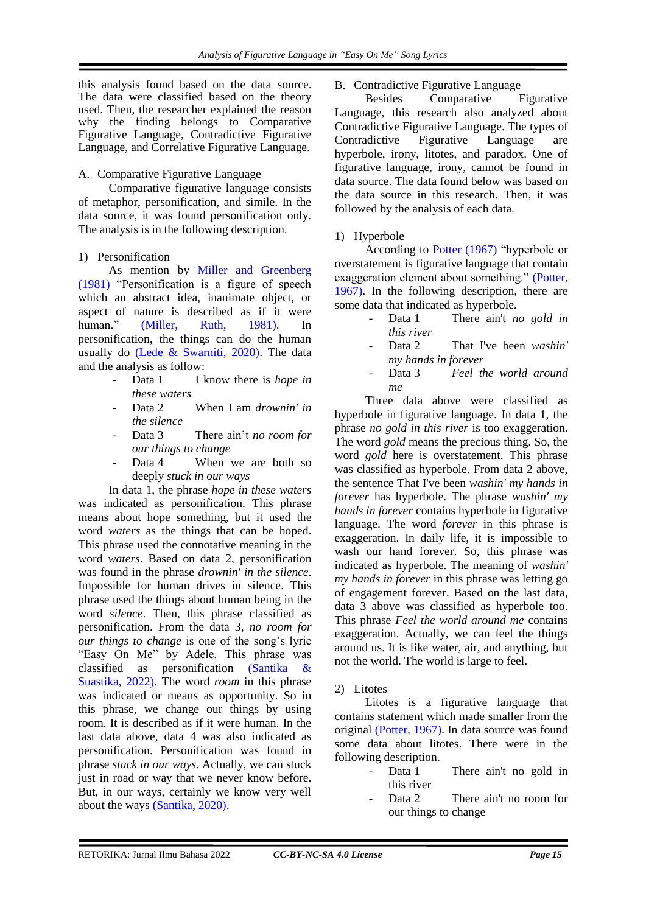this analysis found based on the data source. The data were classified based on the theory used. Then, the researcher explained the reason why the finding belongs to Comparative Figurative Language, Contradictive Figurative Language, and Correlative Figurative Language.

# A. Comparative Figurative Language

Comparative figurative language consists of metaphor, personification, and simile. In the data source, it was found personification only. The analysis is in the following description.

# 1) Personification

As mention by [Miller and Greenberg](#page-4-0)  [\(1981\)](#page-4-0) "Personification is a figure of speech which an abstract idea, inanimate object, or aspect of nature is described as if it were human." [\(Miller, Ruth, 1981\).](#page-4-0) In personification, the things can do the human usually do [\(Lede & Swarniti, 2020\).](#page-4-0) The data and the analysis as follow:

- Data 1 I know there is *hope in these waters*
- Data 2 When I am *drownin' in the silence*
- Data 3 There ain't *no room for our things to change*
- Data 4 When we are both so deeply *stuck in our ways*

In data 1, the phrase *hope in these waters* was indicated as personification. This phrase means about hope something, but it used the word *waters* as the things that can be hoped. This phrase used the connotative meaning in the word *waters*. Based on data 2, personification was found in the phrase *drownin' in the silence*. Impossible for human drives in silence. This phrase used the things about human being in the word *silence*. Then, this phrase classified as personification. From the data 3, *no room for our things to change* is one of the song's lyric "Easy On Me" by Adele. This phrase was classified as personification [\(Santika &](#page-4-0)  Suastika, 2022). The word *room* in this phrase was indicated or means as opportunity. So in this phrase, we change our things by using room. It is described as if it were human. In the last data above, data 4 was also indicated as personification. Personification was found in phrase *stuck in our ways*. Actually, we can stuck just in road or way that we never know before. But, in our ways, certainly we know very well about the ways [\(Santika, 2020\).](#page-4-0)

# B. Contradictive Figurative Language

Besides Comparative Figurative Language, this research also analyzed about Contradictive Figurative Language. The types of Contradictive Figurative Language are hyperbole, irony, litotes, and paradox. One of figurative language, irony, cannot be found in data source. The data found below was based on the data source in this research. Then, it was followed by the analysis of each data.

# 1) Hyperbole

According to [Potter \(1967\)](#page-4-0) "hyperbole or overstatement is figurative language that contain exaggeration element about something." [\(Potter,](#page-4-0)  1967). In the following description, there are some data that indicated as hyperbole.<br>Data 1 There ain't n

- There ain't *no gold in this river*
- Data 2 That I've been *washin' my hands in forever*
- Data 3 *Feel the world around me*

Three data above were classified as hyperbole in figurative language. In data 1, the phrase *no gold in this river* is too exaggeration. The word *gold* means the precious thing. So, the word *gold* here is overstatement. This phrase was classified as hyperbole. From data 2 above, the sentence That I've been *washin' my hands in forever* has hyperbole. The phrase *washin' my hands in forever* contains hyperbole in figurative language. The word *forever* in this phrase is exaggeration. In daily life, it is impossible to wash our hand forever. So, this phrase was indicated as hyperbole. The meaning of *washin' my hands in forever* in this phrase was letting go of engagement forever. Based on the last data, data 3 above was classified as hyperbole too. This phrase *Feel the world around me* contains exaggeration. Actually, we can feel the things around us. It is like water, air, and anything, but not the world. The world is large to feel.

# 2) Litotes

Litotes is a figurative language that contains statement which made smaller from the original [\(Potter, 1967\).](#page-4-0) In data source was found some data about litotes. There were in the following description.

- Data 1 There ain't no gold in this river
- Data 2 There ain't no room for our things to change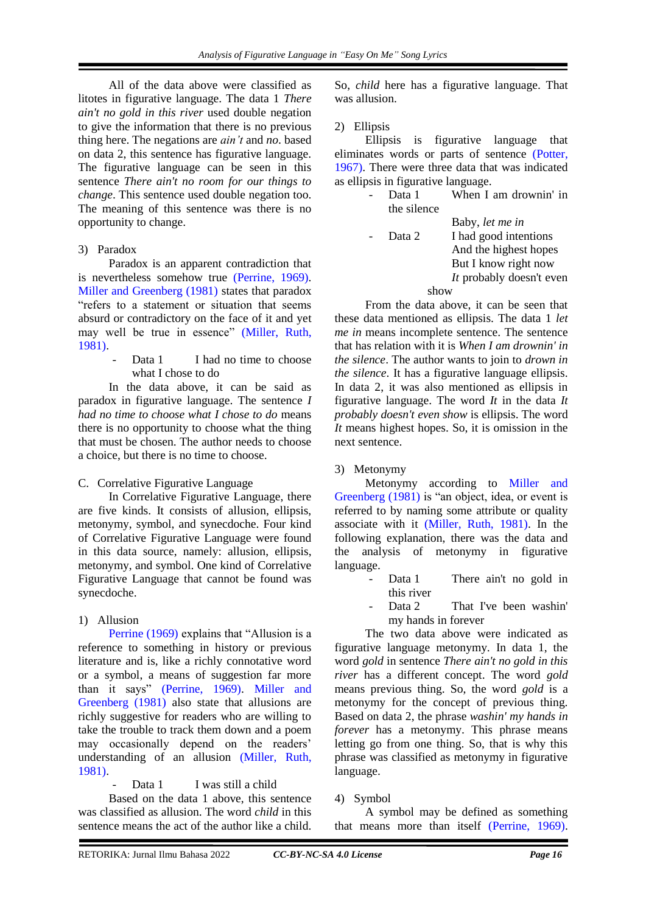All of the data above were classified as litotes in figurative language. The data 1 *There ain't no gold in this river* used double negation to give the information that there is no previous thing here. The negations are *ain't* and *no*. based on data 2, this sentence has figurative language. The figurative language can be seen in this sentence *There ain't no room for our things to change*. This sentence used double negation too. The meaning of this sentence was there is no opportunity to change.

#### 3) Paradox

Paradox is an apparent contradiction that is nevertheless somehow true [\(Perrine, 1969\).](#page-4-0) [Miller and Greenberg \(1981\)](#page-4-0) states that paradox "refers to a statement or situation that seems absurd or contradictory on the face of it and yet may well be true in essence" [\(Miller, Ruth,](#page-4-0)  1981).

> Data 1 I had no time to choose what I chose to do

In the data above, it can be said as paradox in figurative language. The sentence *I had no time to choose what I chose to do* means there is no opportunity to choose what the thing that must be chosen. The author needs to choose a choice, but there is no time to choose.

C. Correlative Figurative Language

In Correlative Figurative Language, there are five kinds. It consists of allusion, ellipsis, metonymy, symbol, and synecdoche. Four kind of Correlative Figurative Language were found in this data source, namely: allusion, ellipsis, metonymy, and symbol. One kind of Correlative Figurative Language that cannot be found was synecdoche.

# 1) Allusion

[Perrine \(1969\)](#page-4-0) explains that "Allusion is a reference to something in history or previous literature and is, like a richly connotative word or a symbol, a means of suggestion far more than it says" [\(Perrine, 1969\).](#page-4-0) [Miller and](#page-4-0)  [Greenberg \(1981\)](#page-4-0) also state that allusions are richly suggestive for readers who are willing to take the trouble to track them down and a poem may occasionally depend on the readers' understanding of an allusion [\(Miller, Ruth,](#page-4-0)  1981).

Data 1 I was still a child

Based on the data 1 above, this sentence was classified as allusion. The word *child* in this sentence means the act of the author like a child.

So, *child* here has a figurative language. That was allusion.

2) Ellipsis

Ellipsis is figurative language that eliminates words or parts of sentence [\(Potter,](#page-4-0)  1967). There were three data that was indicated as ellipsis in figurative language.

- Data 1 When I am drownin' in the silence
	- Baby, *let me in*
- Data 2 I had good intentions And the highest hopes But I know right now *It* probably doesn't even show

From the data above, it can be seen that these data mentioned as ellipsis. The data 1 *let me in* means incomplete sentence. The sentence that has relation with it is *When I am drownin' in the silence*. The author wants to join to *drown in the silence*. It has a figurative language ellipsis. In data 2, it was also mentioned as ellipsis in figurative language. The word *It* in the data *It probably doesn't even show* is ellipsis. The word *It* means highest hopes. So, it is omission in the next sentence.

# 3) Metonymy

Metonymy according to [Miller and](#page-4-0)  [Greenberg \(1981\)](#page-4-0) is "an object, idea, or event is referred to by naming some attribute or quality associate with it [\(Miller, Ruth, 1981\).](#page-4-0) In the following explanation, there was the data and the analysis of metonymy in figurative language.

- Data 1 There ain't no gold in this river
- Data 2 That I've been washin' my hands in forever

The two data above were indicated as figurative language metonymy. In data 1, the word *gold* in sentence *There ain't no gold in this river* has a different concept. The word *gold* means previous thing. So, the word *gold* is a metonymy for the concept of previous thing. Based on data 2, the phrase *washin' my hands in forever* has a metonymy. This phrase means letting go from one thing. So, that is why this phrase was classified as metonymy in figurative language.

# 4) Symbol

A symbol may be defined as something that means more than itself [\(Perrine, 1969\).](#page-4-0)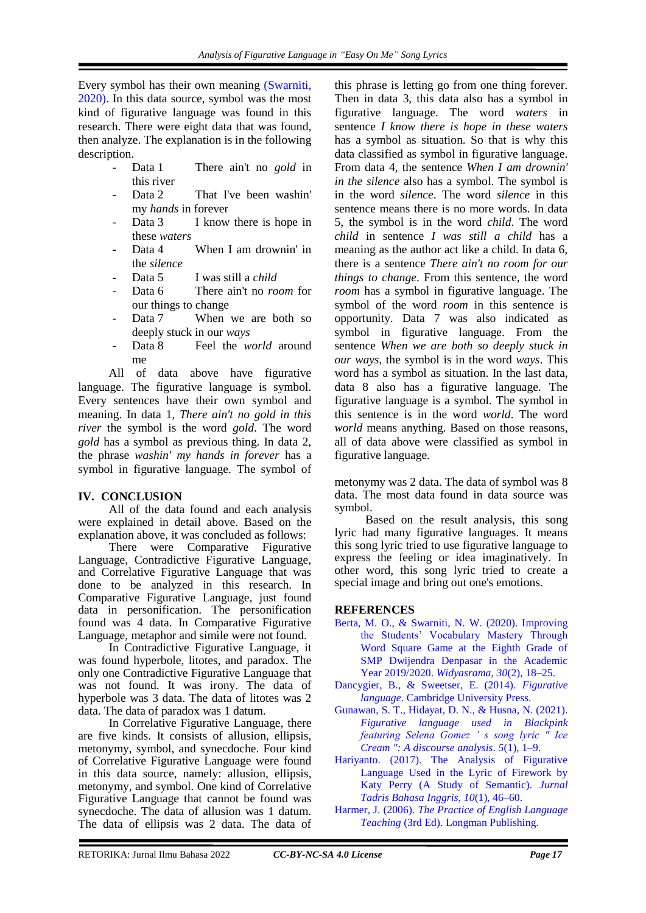Every symbol has their own meaning [\(Swarniti,](#page-4-0)  2020). In this data source, symbol was the most kind of figurative language was found in this research. There were eight data that was found, then analyze. The explanation is in the following description.

- Data 1 There ain't no *gold* in this river
- Data 2 That I've been washin' my *hands* in forever
- Data 3 I know there is hope in these *waters*
- Data 4 When I am drownin' in the *silence*
- Data 5 I was still a *child*
- Data 6 There ain't no *room* for our things to change
- Data 7 When we are both so deeply stuck in our *ways*
- Data 8 Feel the *world* around me

All of data above have figurative language. The figurative language is symbol. Every sentences have their own symbol and meaning. In data 1, *There ain't no gold in this river* the symbol is the word *gold*. The word *gold* has a symbol as previous thing. In data 2, the phrase *washin' my hands in forever* has a symbol in figurative language. The symbol of

# **IV. CONCLUSION**

All of the data found and each analysis were explained in detail above. Based on the explanation above, it was concluded as follows:

There were Comparative Figurative Language, Contradictive Figurative Language, and Correlative Figurative Language that was done to be analyzed in this research. In Comparative Figurative Language, just found data in personification. The personification found was 4 data. In Comparative Figurative Language, metaphor and simile were not found.

In Contradictive Figurative Language, it was found hyperbole, litotes, and paradox. The only one Contradictive Figurative Language that was not found. It was irony. The data of hyperbole was 3 data. The data of litotes was 2 data. The data of paradox was 1 datum.

In Correlative Figurative Language, there are five kinds. It consists of allusion, ellipsis, metonymy, symbol, and synecdoche. Four kind of Correlative Figurative Language were found in this data source, namely: allusion, ellipsis, metonymy, and symbol. One kind of Correlative Figurative Language that cannot be found was synecdoche. The data of allusion was 1 datum. The data of ellipsis was 2 data. The data of

this phrase is letting go from one thing forever. Then in data 3, this data also has a symbol in figurative language. The word *waters* in sentence *I know there is hope in these waters* has a symbol as situation. So that is why this data classified as symbol in figurative language. From data 4, the sentence *When I am drownin' in the silence* also has a symbol. The symbol is in the word *silence*. The word *silence* in this sentence means there is no more words. In data 5, the symbol is in the word *child*. The word *child* in sentence *I was still a child* has a meaning as the author act like a child. In data 6, there is a sentence *There ain't no room for our things to change*. From this sentence, the word *room* has a symbol in figurative language. The symbol of the word *room* in this sentence is opportunity. Data 7 was also indicated as symbol in figurative language. From the sentence *When we are both so deeply stuck in our ways*, the symbol is in the word *ways*. This word has a symbol as situation. In the last data, data 8 also has a figurative language. The figurative language is a symbol. The symbol in this sentence is in the word *world*. The word *world* means anything. Based on those reasons, all of data above were classified as symbol in figurative language.

metonymy was 2 data. The data of symbol was 8 data. The most data found in data source was symbol.

Based on the result analysis, this song lyric had many figurative languages. It means this song lyric tried to use figurative language to express the feeling or idea imaginatively. In other word, this song lyric tried to create a special image and bring out one's emotions.

# <span id="page-4-0"></span>**REFERENCES**

- [Berta, M. O., & Swarniti, N. W. \(2020\). Improving](http://ejournal.undwi.ac.id/index.php/widyasrama/article/view/1108)  [the Students' Vocabulary Mastery Through](http://ejournal.undwi.ac.id/index.php/widyasrama/article/view/1108)  [Word Square Game at the Eighth Grade of](http://ejournal.undwi.ac.id/index.php/widyasrama/article/view/1108)  [SMP Dwijendra Denpasar in the Academic](http://ejournal.undwi.ac.id/index.php/widyasrama/article/view/1108)  [Year 2019/2020.](http://ejournal.undwi.ac.id/index.php/widyasrama/article/view/1108) *Widyasrama*, *30*(2), 18–25.
- [Dancygier, B., & Sweetser, E. \(2014\).](https://psycnet.apa.org/record/2014-14196-000) *Figurative language*[. Cambridge University Press.](https://psycnet.apa.org/record/2014-14196-000)
- [Gunawan, S. T., Hidayat, D. N., & Husna, N. \(2021\).](https://ojs.pnb.ac.id/index.php/JASL/article/view/2281)  *[Figurative language used in Blackpink](https://ojs.pnb.ac.id/index.php/JASL/article/view/2281)  [featuring Selena Gomez ' s song lyric " Ice](https://ojs.pnb.ac.id/index.php/JASL/article/view/2281)  [Cream ": A discourse analysis](https://ojs.pnb.ac.id/index.php/JASL/article/view/2281)*. *5*(1), 1–9.
- [Hariyanto. \(2017\). The Analysis of Figurative](http://ejournal.radenintan.ac.id/index.php/ENGEDU/article/view/874)  [Language Used in the Lyric of Firework by](http://ejournal.radenintan.ac.id/index.php/ENGEDU/article/view/874)  [Katy Perry \(A Study of Semantic\).](http://ejournal.radenintan.ac.id/index.php/ENGEDU/article/view/874) *Jurnal [Tadris Bahasa Inggris](http://ejournal.radenintan.ac.id/index.php/ENGEDU/article/view/874)*, *10*(1), 46–60.
- Harmer, J. (2006). *[The Practice of English Language](https://www.worldcat.org/title/practice-of-english-language-teaching/oclc/62737252?referer=di&ht=edition)  Teaching* [\(3rd Ed\). Longman Publishing.](https://www.worldcat.org/title/practice-of-english-language-teaching/oclc/62737252?referer=di&ht=edition)